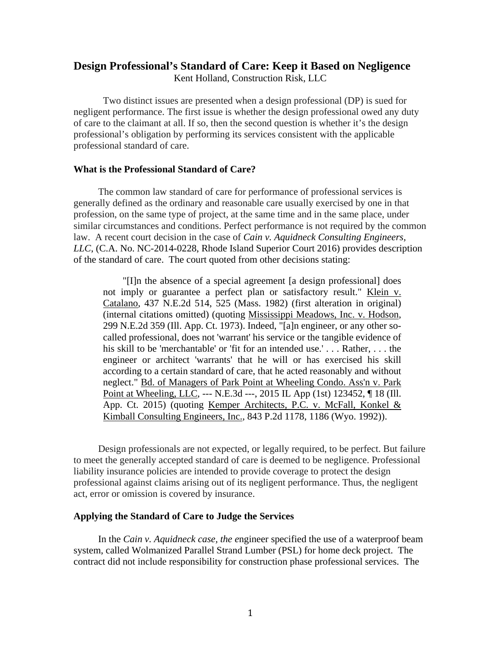# **Design Professional's Standard of Care: Keep it Based on Negligence**  Kent Holland, Construction Risk, LLC

Two distinct issues are presented when a design professional (DP) is sued for negligent performance. The first issue is whether the design professional owed any duty of care to the claimant at all. If so, then the second question is whether it's the design professional's obligation by performing its services consistent with the applicable professional standard of care.

#### **What is the Professional Standard of Care?**

The common law standard of care for performance of professional services is generally defined as the ordinary and reasonable care usually exercised by one in that profession, on the same type of project, at the same time and in the same place, under similar circumstances and conditions. Perfect performance is not required by the common law. A recent court decision in the case of *Cain v. Aquidneck Consulting Engineers, LLC*, (C.A. No. NC-2014-0228, Rhode Island Superior Court 2016) provides description of the standard of care. The court quoted from other decisions stating:

"[I]n the absence of a special agreement [a design professional] does not imply or guarantee a perfect plan or satisfactory result." Klein v. Catalano, 437 N.E.2d 514, 525 (Mass. 1982) (first alteration in original) (internal citations omitted) (quoting Mississippi Meadows, Inc. v. Hodson, 299 N.E.2d 359 (Ill. App. Ct. 1973). Indeed, "[a]n engineer, or any other socalled professional, does not 'warrant' his service or the tangible evidence of his skill to be 'merchantable' or 'fit for an intended use.' . . . Rather, . . . the engineer or architect 'warrants' that he will or has exercised his skill according to a certain standard of care, that he acted reasonably and without neglect." Bd. of Managers of Park Point at Wheeling Condo. Ass'n v. Park Point at Wheeling, LLC, --- N.E.3d ---, 2015 IL App (1st) 123452, ¶ 18 (Ill. App. Ct. 2015) (quoting Kemper Architects, P.C. v. McFall, Konkel & Kimball Consulting Engineers, Inc., 843 P.2d 1178, 1186 (Wyo. 1992)).

Design professionals are not expected, or legally required, to be perfect. But failure to meet the generally accepted standard of care is deemed to be negligence. Professional liability insurance policies are intended to provide coverage to protect the design professional against claims arising out of its negligent performance. Thus, the negligent act, error or omission is covered by insurance.

## **Applying the Standard of Care to Judge the Services**

In the *Cain v. Aquidneck case, the e*ngineer specified the use of a waterproof beam system, called Wolmanized Parallel Strand Lumber (PSL) for home deck project. The contract did not include responsibility for construction phase professional services. The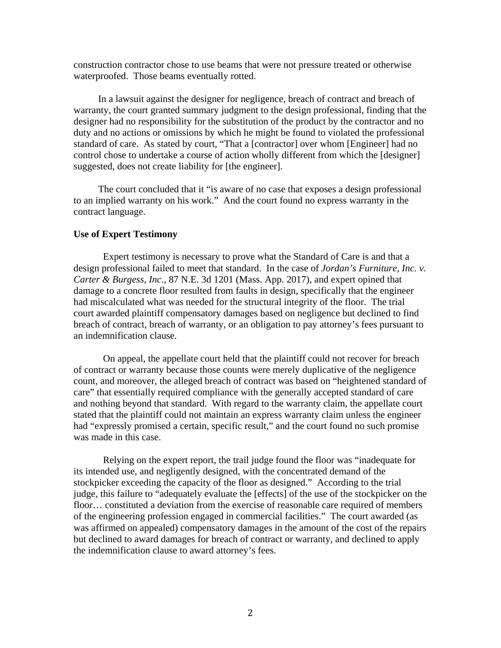construction contractor chose to use beams that were not pressure treated or otherwise waterproofed. Those beams eventually rotted.

In a lawsuit against the designer for negligence, breach of contract and breach of warranty, the court granted summary judgment to the design professional, finding that the designer had no responsibility for the substitution of the product by the contractor and no duty and no actions or omissions by which he might be found to violated the professional standard of care. As stated by court, "That a [contractor] over whom [Engineer] had no control chose to undertake a course of action wholly different from which the [designer] suggested, does not create liability for [the engineer].

The court concluded that it "is aware of no case that exposes a design professional to an implied warranty on his work." And the court found no express warranty in the contract language.

## **Use of Expert Testimony**

Expert testimony is necessary to prove what the Standard of Care is and that a design professional failed to meet that standard. In the case of *Jordan's Furniture, Inc. v. Carter & Burgess, Inc*., 87 N.E. 3d 1201 (Mass. App. 2017), and expert opined that damage to a concrete floor resulted from faults in design, specifically that the engineer had miscalculated what was needed for the structural integrity of the floor. The trial court awarded plaintiff compensatory damages based on negligence but declined to find breach of contract, breach of warranty, or an obligation to pay attorney's fees pursuant to an indemnification clause.

On appeal, the appellate court held that the plaintiff could not recover for breach of contract or warranty because those counts were merely duplicative of the negligence count, and moreover, the alleged breach of contract was based on "heightened standard of care" that essentially required compliance with the generally accepted standard of care and nothing beyond that standard. With regard to the warranty claim, the appellate court stated that the plaintiff could not maintain an express warranty claim unless the engineer had "expressly promised a certain, specific result," and the court found no such promise was made in this case.

Relying on the expert report, the trail judge found the floor was "inadequate for its intended use, and negligently designed, with the concentrated demand of the stockpicker exceeding the capacity of the floor as designed." According to the trial judge, this failure to "adequately evaluate the [effects] of the use of the stockpicker on the floor… constituted a deviation from the exercise of reasonable care required of members of the engineering profession engaged in commercial facilities." The court awarded (as was affirmed on appealed) compensatory damages in the amount of the cost of the repairs but declined to award damages for breach of contract or warranty, and declined to apply the indemnification clause to award attorney's fees.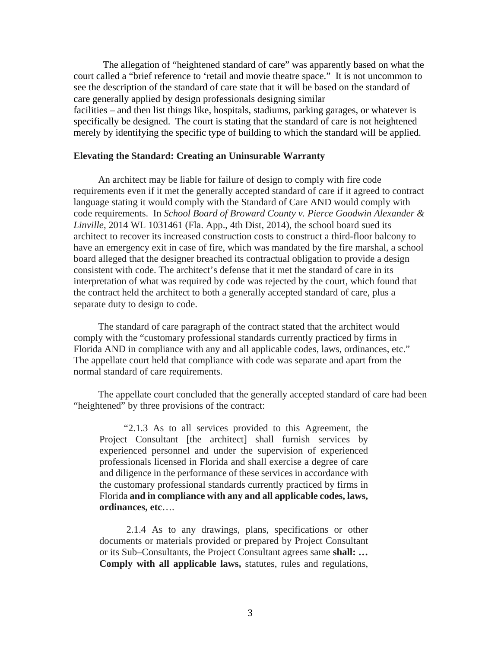The allegation of "heightened standard of care" was apparently based on what the court called a "brief reference to 'retail and movie theatre space." It is not uncommon to see the description of the standard of care state that it will be based on the standard of care generally applied by design professionals designing similar facilities – and then list things like, hospitals, stadiums, parking garages, or whatever is specifically be designed. The court is stating that the standard of care is not heightened merely by identifying the specific type of building to which the standard will be applied.

## **Elevating the Standard: Creating an Uninsurable Warranty**

An architect may be liable for failure of design to comply with fire code requirements even if it met the generally accepted standard of care if it agreed to contract language stating it would comply with the Standard of Care AND would comply with code requirements. In *School Board of Broward County v. Pierce Goodwin Alexander & Linville*, 2014 WL 1031461 (Fla. App., 4th Dist, 2014), the school board sued its architect to recover its increased construction costs to construct a third-floor balcony to have an emergency exit in case of fire, which was mandated by the fire marshal, a school board alleged that the designer breached its contractual obligation to provide a design consistent with code. The architect's defense that it met the standard of care in its interpretation of what was required by code was rejected by the court, which found that the contract held the architect to both a generally accepted standard of care, plus a separate duty to design to code.

The standard of care paragraph of the contract stated that the architect would comply with the "customary professional standards currently practiced by firms in Florida AND in compliance with any and all applicable codes, laws, ordinances, etc." The appellate court held that compliance with code was separate and apart from the normal standard of care requirements.

The appellate court concluded that the generally accepted standard of care had been "heightened" by three provisions of the contract:

"2.1.3 As to all services provided to this Agreement, the Project Consultant [the architect] shall furnish services by experienced personnel and under the supervision of experienced professionals licensed in Florida and shall exercise a degree of care and diligence in the performance of these services in accordance with the customary professional standards currently practiced by firms in Florida **and in compliance with any and all applicable codes, laws, ordinances, etc**….

 2.1.4 As to any drawings, plans, specifications or other documents or materials provided or prepared by Project Consultant or its Sub–Consultants, the Project Consultant agrees same **shall: … Comply with all applicable laws,** statutes, rules and regulations,